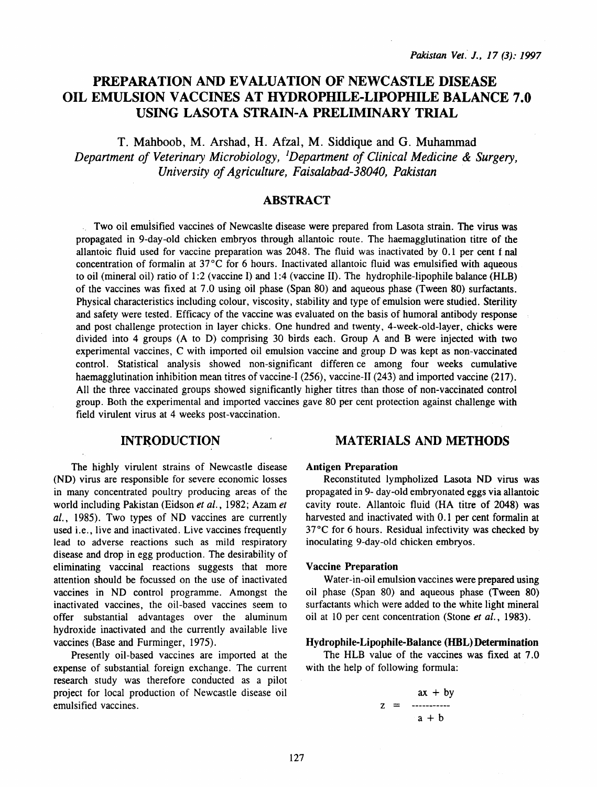# PREPARATION AND EVALUATION OF NEWCASTLE DISEASE OIL EMULSION VACCINES AT HYDROPHILE-LIPOPHILE BALANCE 7.0 USING LASOTA STRAIN-A PRELIMINARY TRIAL

T. Mahboob, M. Arshad, H. Afzal, M. Siddique and G. Muhammad *Department of Veterinary Microbiology, 1 Department of Clinical Medicine & Surgery, University of Agriculture, Faisalabad-38040, Pakistan* 

# **ABSTRACT**

Two oil emuisified vaccines of Newcaslte disease were prepared from Lasota strain. The virus was propagated in 9-day-old chicken embryos through allantoic route. The haemagglutination titre of the allantoic fluid used for vaccine preparation was 2048. The fluid was inactivated by 0.1 per cent f nal concentration of formalin at  $37^{\circ}$ C for 6 hours. Inactivated allantoic fluid was emulsified with aqueous to oil (mineral oil) ratio of 1:2 (vaccine I) and 1:4 (vaccine II). The hydrophile-lipophile balance (HLB) of the vaccines was fixed at 7.0 using oil phase (Span 80) and aqueous phase (Tween 80) surfactants. Physical characteristics including colour, viscosity, stability and type of emulsion were studied. Sterility and safety were tested. Efficacy of the vaccine was evaluated on the basis of humoral antibody response and post challenge protection in layer chicks. One hundred and twenty, 4-week-old-layer, chicks were divided into 4 groups (A to D) comprising 30 birds each. Group A and B were injected with two experimental vaccines, C with imported oil emulsion vaccine and group D was kept as non-vaccinated control. Statistical analysis showed non-significant differen ce among four weeks cumulative haemagglutination inhibition mean titres of vaccine-I (256), vaccine-II (243) and imported vaccine (217). All the three vaccinated groups showed significantly higher titres than those of non-vaccinated control group. Both the experimental and imported vaccines gave 80 per cent protection against challenge with field virulent virus at 4 weeks post-vaccination.

# **INTRODUCTION**

The highly virulent strains of Newcastle disease (ND) virus are responsible for severe economic losses in many concentrated poultry producing areas of the world including Pakistan (Eidson *et al.,* 1982; Azam *et al.,* 1985). Two types of ND vaccines are currently used i.e., live and inactivated. Live vaccines frequently lead to adverse reactions such as mild respiratory disease and drop in egg production. The desirability of eliminating vaccinal reactions suggests that more attention should be focussed on the use of inactivated vaccines in ND control programme. Amongst the inactivated vaccines, the oil-based vaccines seem to offer substantial advantages over the aluminum hydroxide inactivated and the currently available live vaccines (Base and Furminger, 1975).

Presently oil-based vaccines are imported at the expense of substantial foreign exchange. The current research study was therefore conducted as a pilot project for local production of Newcastle disease oil emulsified vaccines.

# MATERIALS AND METHODS

#### Antigen Preparation

Reconstituted lympholized Lasota ND virus was propagated in 9- day-old embryonated eggs via allantoic cavity route. Allantoic fluid (HA titre of 2048) was harvested and inactivated with 0.1 per cent formalin at  $37^{\circ}$ C for 6 hours. Residual infectivity was checked by inoculating 9-day-old chicken embryos.

#### Vaccine Preparation

Water-in-oil emulsion vaccines were prepared using oil phase (Span 80) and aqueous phase (Tween 80) surfactants which were added to the white light mineral oil at 10 per cent concentration (Stone *et al.,* 1983).

#### Hydrophile-Lipophile-Balance (HBL) Determination

The HLB value of the vaccines was fixed at 7.0 with the help of following formula:

$$
z = \frac{ax + by}{a + b}
$$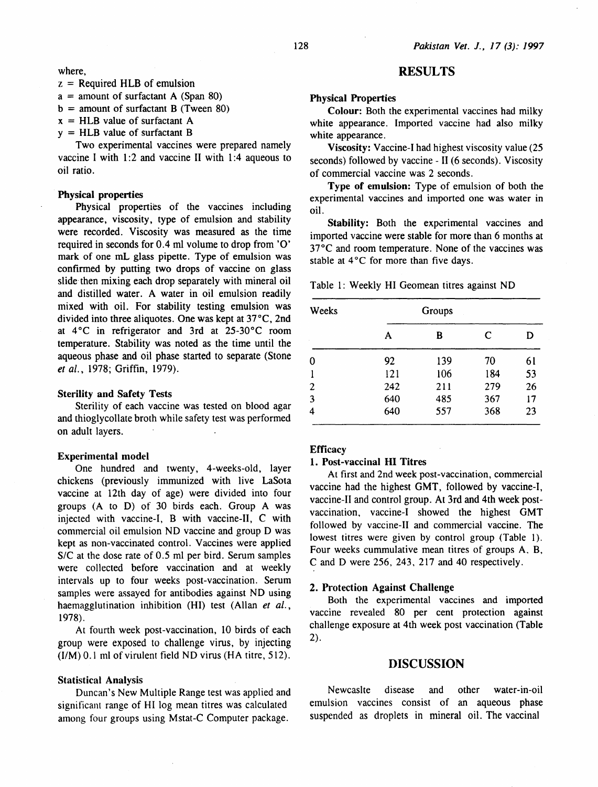#### where,

- $z =$  Required HLB of emulsion
- $a =$  amount of surfactant A (Span 80)
- $b =$  amount of surfactant B (Tween 80)
- $x = HLB$  value of surfactant A
- $y = HLB$  value of surfactant B

Two experimental vaccines were prepared namely vaccine I with  $1:2$  and vaccine II with  $1:4$  aqueous to oil ratio.

### Physical properties

Physical properties of the vaccines including appearance, viscosity, type of emulsion and stability were recorded. Viscosity was measured as the time required in seconds for 0.4 ml volume to drop from '0' mark of one mL glass pipette. Type of emulsion was confirmed by putting two drops of vaccine on glass slide then mixing each drop separately with mineral oil and distilled water. A water in oil emulsion readily mixed with oil. For stability testing emulsion was divided into three aliquotes. One was kept at 37°C, 2nd at  $4^{\circ}$ C in refrigerator and 3rd at 25-30 $^{\circ}$ C room temperature. Stability was noted as the time until the aqueous phase and oil phase started to separate (Stone *et* al., 1978; Griffin, 1979).

#### Sterility and Safety Tests

Sterility of each vaccine was tested on blood agar and thioglycollate broth while safety test was performed on adult layers.

#### Experimental model

One hundred and twenty, 4-weeks-old, layer chickens (previously immunized with live LaSota vaccine at 12th day of age) were divided into four groups (A to D) of 30 birds each. Group A was injected with vaccine-1, B with vaccine-II, C with commercial oil emulsion ND vaccine and group D was kept as non-vaccinated control. Vaccines were applied S/C at the dose rate of 0.5 ml per bird. Serum samples were collected before vaccination and at weekly intervals up to four weeks post-vaccination. Serum samples were assayed for antibodies against ND using haemagglutination inhibition (HI) test (Allan *et* al., 1978).

At fourth week post-vaccination, 10 birds of each group were exposed to challenge virus, by injecting (1/M) 0.1 ml of virulent field NO virus (HA titre, 512).

#### Statistical Analysis

Duncan's New Multiple Range test was applied and significant range of HI log mean titres was calculated among four groups using Mstat-C Computer package.

## RESULTS

### Physical Properties

Colour: Both the experimental vaccines had milky white appearance. Imported vaccine had also milky white appearance.

Viscosity: Vaccine-I had highest viscosity value (25 seconds) followed by vaccine- II (6 seconds). Viscosity of commercial vaccine was 2 seconds.

Type of emulsion: Type of emulsion of both the experimental vaccines and imported one was water in oil.

Stability: Both the experimental vaccines and imported vaccine were stable for more than 6 months at 37°C and room temperature. None of the vaccines was stable at  $4^{\circ}$ C for more than five days.

Table 1: Weekly HI Geomean titres against NO

| Weeks |     |     |     |    |
|-------|-----|-----|-----|----|
|       | A   | B   | C   | D  |
| 0     | 92  | 139 | 70  | 61 |
|       | 121 | 106 | 184 | 53 |
| 2     | 242 | 211 | 279 | 26 |
| 3     | 640 | 485 | 367 | 17 |
| 4     | 640 | 557 | 368 | 23 |

### **Efficacy**

### 1. Post-vaccinal HI Titres

At first and 2nd week post-vaccination, commercial vaccine had the highest GMT, followed by vaccine-I, vaccine-11 and control group. At 3rd and 4th week postvaccination, vaccine-1 showed the highest GMT followed by vaccine-11 and commercial vaccine. The lowest titres were given by control group (Table 1). Four weeks cummulative mean titres of groups A. B, C and D were 256,243,217 and 40 respectively.

#### 2. Protection Against Challenge

Both the experimental vaccines and imported vaccine revealed 80 per cent protection against challenge exposure at 4th week post vaccination (Table 2).

### DISCUSSION

Newcaslte disease and other water-in-oil emulsion vaccines consist of an aqueous phase suspended as droplets in mineral oil. The vaccinal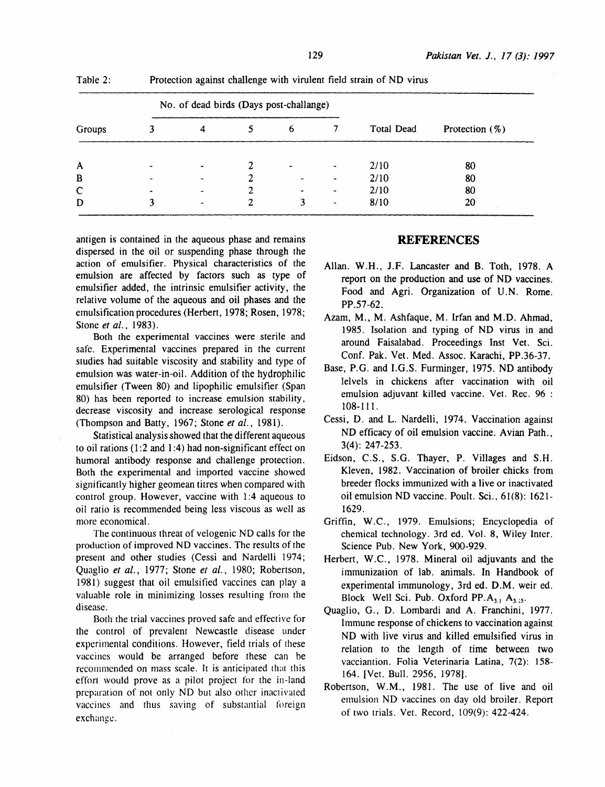|        | No. of dead birds (Days post-challange) |                          |   |                          |                          |            |                   |
|--------|-----------------------------------------|--------------------------|---|--------------------------|--------------------------|------------|-------------------|
| Groups |                                         | 4                        |   | 6                        |                          | Total Dead | Protection $(\%)$ |
|        |                                         | The Corporation          |   |                          |                          |            |                   |
| A      |                                         | $\overline{\phantom{a}}$ |   | $\overline{\phantom{0}}$ | $\overline{\phantom{a}}$ | 2/10       | 80                |
| B      |                                         | $\overline{\phantom{0}}$ |   |                          | $\blacksquare$           | 2/10       | 80                |
| C      |                                         | -                        | 2 | $\overline{\phantom{0}}$ | ۰                        | 2/10       | 80                |
| D      |                                         | ۰                        |   | 3                        | $\overline{\phantom{a}}$ | 8/10       | 20                |

Table 2: Protection against challenge with virulent field strain of ND virus

antigen is contained in the aqueous phase and remains dispersed in the oil or suspending phase through the action of emulsifier. Physical characteristics of the emulsion are affected by factors such as type of emulsifier added, the intrinsic emulsifier activity, the relative volume of the aqueous and oil phases and the emulsification procedures (Herbert, 1978; Rosen, 1978; Stone *et al.,* 1983).

Both the experimental vaccines were sterile and safe. Experimental vaccines prepared in the current studies had suitable viscosity and stability and type of emulsion was water-in-oil. Addition of the hydrophilic emulsifier (Tween 80) and lipophilic emulsifier (Span 80) has been reported to increase emulsion stability, decrease viscosity and increase serological response (Thompson and Batty, 1967; Stone *et al.,* 1981).

Statistical analysis showed that the different aqueous to oil rations  $(1:2 \text{ and } 1:4)$  had non-significant effect on humoral antibody response and challenge protection. Both the experimental and imported vaccine showed significantly higher geomean titres when compared with control group. However, vaccine with 1:4 aqueous to oil ratio is recommended being less viscous as well as more economical.

The continuous threar of velogenic ND calls for the production of improved ND vaccines. The results of the present and other studies (Cessi and Nardelli 1974; Quaglio *et al.,* 1977; Stone *et al.,* 1980; Robertson, 1981) suggest that oil emulsitied vaccines can play a valuable role in minimizing losses resulting from the disease.

Both the trial vaccines proved safe and effective for the control of prevalent Newcastle disease under experimental conditions. However, field trials of these vaccines would be arranged before these can be recommended on mass scale. It is anticipated that this effort would prove as a pilot project for the in-land preparation of not only ND bur also other inacrivated vaccines and thus saving of substantial foreign exchange.

## **REFERENCES**

- Allan. W.H., J.F. Lancaster and B. Toth, 1978. A report on the production and use of ND vaccines. Food and Agri. Organization of U.N. Rome. PP.57-62.
- Azam, M., M. Ashfaque, M. lrfan and M.D. Ahmad, 1985. Isolation and typing of ND virus in and around Faisalabad. Proceedings Inst Vet. Sci. Conf. Pak. Vet. Med. Assoc. Karachi, PP.36-37.
- Base, P.G. and I.G.S. Furminger, 1975. ND antibody lelvels in chickens after vaccination with oil emulsion adjuvant killed vaccine. Vet. Rec. 96 : 108-lll.
- Cessi, D. and L. Nardelli, 1974. Vaccination against ND efficacy of oil emulsion vaccine. Avian Path., 3(4): 247-253.
- Eidson, C.S., S.G. Thayer, P. Villages and S.H. Kleven, 1982. Vaccination of broiler chicks from breeder flocks immunized with a live or inactivated oil emulsion ND vaccine. Poult. Sci., 61(8): 1621- 1629.
- Griffin, W.C., 1979. Emulsions; Encyclopedia of chemical technology. 3rd ed. Vol. 8, Wiley Inter. Science Pub. New York, 900-929.
- Herbert, W.C., 1978. Mineral oil adjuvants and the immunization of lab. animals. In Handbook of experimental immunology, 3rd ed. D.M. weir ed. Block Well Sci. Pub. Oxford PP. $A_{3,1}$ ,  $A_{3,15}$ .
- Quaglio, G., D. Lombardi and A. Franchini, 1977. Immune response of chickens to vaccination against ND with live virus and killed emulsified virus in relation to the length of time between two vacciantion. Folia Veterinaria Latina, 7(2): 158- 164. [Vet. Bull. 2956, 1978].
- Robertson, W.M., 1981. The use of live and oil emulsion NO vaccines on day old broiler. Report of two trials. Vet. Record, 109(9): 422-424.